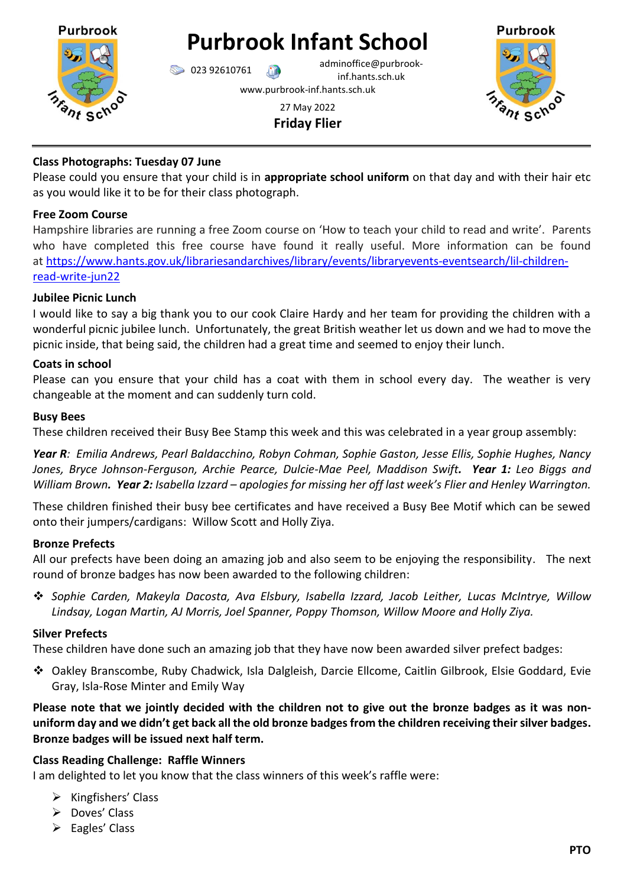

# **Purbrook Infant School**

023 92610761 adminoffice@purbrookinf.hants.sch.uk

www.purbrook-inf.hants.sch.uk



27 May 2022 **Friday Flier**

## **Class Photographs: Tuesday 07 June**

Please could you ensure that your child is in **appropriate school uniform** on that day and with their hair etc as you would like it to be for their class photograph.

# **Free Zoom Course**

Hampshire libraries are running a free Zoom course on 'How to teach your child to read and write'. Parents who have completed this free course have found it really useful. More information can be found at [https://www.hants.gov.uk/librariesandarchives/library/events/libraryevents-eventsearch/lil-children](https://www.hants.gov.uk/librariesandarchives/library/events/libraryevents-eventsearch/lil-children-read-write-jun22)[read-write-jun22](https://www.hants.gov.uk/librariesandarchives/library/events/libraryevents-eventsearch/lil-children-read-write-jun22)

# **Jubilee Picnic Lunch**

I would like to say a big thank you to our cook Claire Hardy and her team for providing the children with a wonderful picnic jubilee lunch. Unfortunately, the great British weather let us down and we had to move the picnic inside, that being said, the children had a great time and seemed to enjoy their lunch.

## **Coats in school**

Please can you ensure that your child has a coat with them in school every day. The weather is very changeable at the moment and can suddenly turn cold.

## **Busy Bees**

These children received their Busy Bee Stamp this week and this was celebrated in a year group assembly:

*Year R: Emilia Andrews, Pearl Baldacchino, Robyn Cohman, Sophie Gaston, Jesse Ellis, Sophie Hughes, Nancy Jones, Bryce Johnson-Ferguson, Archie Pearce, Dulcie-Mae Peel, Maddison Swift. Year 1: Leo Biggs and William Brown. Year 2: Isabella Izzard – apologies for missing her off last week's Flier and Henley Warrington.*

These children finished their busy bee certificates and have received a Busy Bee Motif which can be sewed onto their jumpers/cardigans: Willow Scott and Holly Ziya.

# **Bronze Prefects**

All our prefects have been doing an amazing job and also seem to be enjoying the responsibility. The next round of bronze badges has now been awarded to the following children:

❖ *Sophie Carden, Makeyla Dacosta, Ava Elsbury, Isabella Izzard, Jacob Leither, Lucas McIntrye, Willow Lindsay, Logan Martin, AJ Morris, Joel Spanner, Poppy Thomson, Willow Moore and Holly Ziya.*

# **Silver Prefects**

These children have done such an amazing job that they have now been awarded silver prefect badges:

❖ Oakley Branscombe, Ruby Chadwick, Isla Dalgleish, Darcie Ellcome, Caitlin Gilbrook, Elsie Goddard, Evie Gray, Isla-Rose Minter and Emily Way

**Please note that we jointly decided with the children not to give out the bronze badges as it was nonuniform day and we didn't get back all the old bronze badges from the children receiving their silver badges. Bronze badges will be issued next half term.**

# **Class Reading Challenge: Raffle Winners**

I am delighted to let you know that the class winners of this week's raffle were:

- $\triangleright$  Kingfishers' Class
- ➢ Doves' Class
- ➢ Eagles' Class